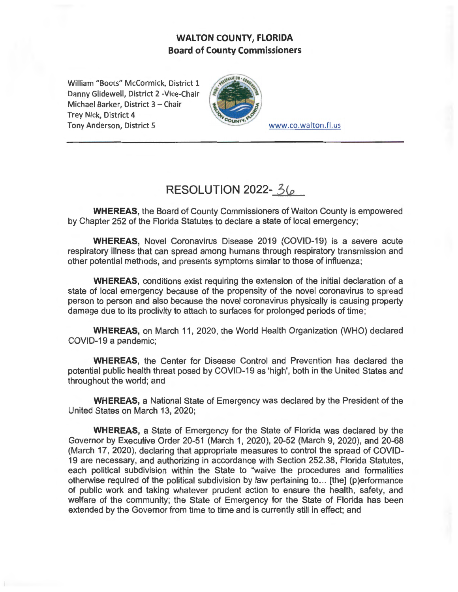## **WALTON COUNTY, FLORIDA Board of County Commissioners**

William "Boots" McCormick, District 1 Danny Glidewell, District 2 -Vice-Chair Michael Barker, District 3 - Chair Trey Nick, District 4 Tony Anderson, District 5 www.co.walton.fl.us



## **RESOLUTION 2022-** 3(p

**WHEREAS,** the Board of County Commissioners of Walton County is empowered by Chapter 252 of the Florida Statutes to declare a state of local emergency;

**WHEREAS,** Novel Coronavirus Disease 2019 (COVID-19) is a severe acute respiratory illness that can spread among humans through respiratory transmission and other potential methods, and presents symptoms similar to those of influenza;

**WHEREAS,** conditions exist requiring the extension of the initial declaration of a state of local emergency because of the propensity of the novel coronavirus to spread person to person and also because the novel coronavirus physically is causing property damage due to its proclivity to attach to surfaces for prolonged periods of time ;

**WHEREAS,** on March 11, 2020, the World Health Organization (WHO) declared COVID-19 a pandemic;

**WHEREAS,** the Center for Disease Control and Prevention has declared the potential public health threat posed by COVID-19 as 'high', both in the United States and throughout the world; and

**WHEREAS,** a National State of Emergency was declared by the President of the United States on March 13, 2020;

**WHEREAS,** a State of Emergency for the State of Florida was declared by the Governor by Executive Order 20-51 (March 1, 2020), 20-52 (March 9, 2020), and 20-68 (March 17, 2020), declaring that appropriate measures to control the spread of COVID-19 are necessary, and authorizing in accordance with Section 252.38, Florida Statutes, each political subdivision within the State to "waive the procedures and formalities otherwise required of the political subdivision by law pertaining to ... [the] (p)erformance of public work and taking whatever prudent action to ensure the health, safety, and welfare of the community; the State of Emergency for the State of Florida has been extended by the Governor from time to time and is currently still in effect; and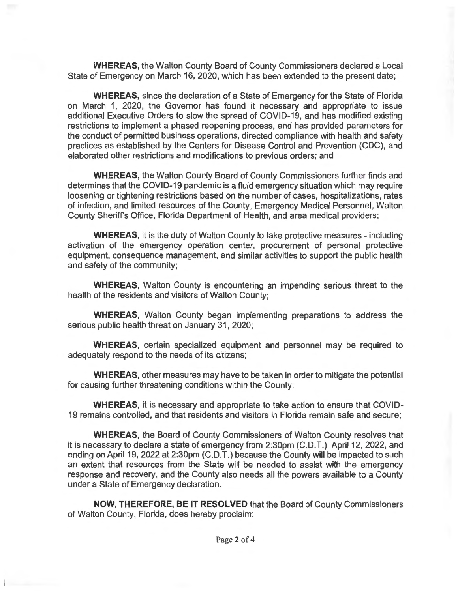**WHEREAS,** the Walton County Board of County Commissioners declared a Local State of Emergency on March 16, 2020, which has been extended to the present date;

**WHEREAS,** since the declaration of a State of Emergency for the State of Florida on March 1, 2020, the Governor has found it necessary and appropriate to issue additional Executive Orders to slow the spread of COVID-19, and has modified existing restrictions to implement a phased reopening process, and has provided parameters for the conduct of permitted business operations, directed compliance with health and safety practices as established by the Centers for Disease Control and Prevention (CDC), and elaborated other restrictions and modifications to previous orders; and

**WHEREAS,** the Walton County Board of County Commissioners further finds and determines that the COVID-19 pandemic is a fluid emergency situation which may require loosening or tightening restrictions based on the number of cases, hospitalizations, rates of infection, and limited resources of the County, Emergency Medical Personnel, Walton County Sheriff's Office, Florida Department of Health, and area medical providers;

**WHEREAS,** it is the duty of Walton County to take protective measures - including activation of the emergency operation center, procurement of personal protective equipment, consequence management, and similar activities to support the public health and safety of the community;

**WHEREAS,** Walton County is encountering an impending serious threat to the health of the residents and visitors of Walton County;

**WHEREAS,** Walton County began implementing preparations to address the serious public health threat on January 31, 2020;

**WHEREAS,** certain specialized equipment and personnel may be required to adequately respond to the needs of its citizens;

**WHEREAS,** other measures may have to be taken in order to mitigate the potential for causing further threatening conditions within the County;

**WHEREAS,** it is necessary and appropriate to take action to ensure that COVID-19 remains controlled, and that residents and visitors in Florida remain safe and secure;

**WHEREAS, the Board of County Commissioners of Walton County resiplies that** it is necessary to declare a state of emergency from 2:30pm (C.D.T.) April 12, 2022, and ending on April 19, 2022 at 2:30pm (C.D.T.) because the County will be impacted to such an extent that resources from the State will be needed to assist with the emergency response and recovery, and the County also needs all the powers available to a County under a State of Emergency declaration.

**NOW, THEREFORE, BE IT RESOLVED** that the Board of County Commissioners of Walton County, Florida, does hereby proclaim: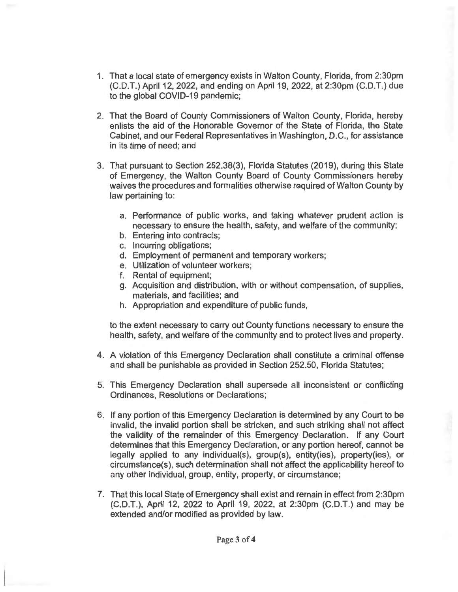- 1. That a local state of emergency exists in Walton County, Florida, from 2:30pm (C.D.T.) April 12, 2022, and ending on April 19, 2022, at 2:30pm (C.D.T.) due to the global COVID-19 pandemic;
- 2. That the Board of County Commissioners of Walton County, Florida, hereby enlists the aid of the Honorable Governor of the State of Florida, the State Cabinet, and our Federal Representatives in Washington, D.C., for assistance in its time of need; and
- 3. That pursuant to Section 252.38(3), Florida Statutes (2019), during this State of Emergency, the Walton County Board of County Commissioners hereby waives the procedures and formalities otherwise required of Walton County by law pertaining to:
	- a. Performance of public works, and taking whatever prudent action is necessary to ensure the health, safety, and welfare of the community;
	- b. Entering into contracts;
	- c. Incurring obligations;
	- d. Employment of permanent and temporary workers;
	- e. Utilization of volunteer workers;
	- f. Rental of equipment;
	- g. Acquisition and distribution, with or without compensation, of supplies, materials, and facilities; and
	- h. Appropriation and expenditure of public funds,

to the extent necessary to carry out County functions necessary to ensure the health, safety, and welfare of the community and to protect lives and property.

- 4. A violation of this Emergency Declaration shall constitute a criminal offense and shall be punishable as provided in Section 252.50, Florida Statutes;
- 5. This Emergency Declaration shall supersede all inconsistent or conflicting Ordinances, Resolutions or Declarations;
- 6. If any portion of this Emergency Declaration is determined by any Court to be invalid, the invalid portion shall be stricken, and such striking shall not affect the validity of the remainder of this Emergency Declaration. If any Court determines that this Emergency Declaration, or any portion hereof, cannot be legally applied to any individual(s), group(s), entity(ies), property(ies), or circumstance(s), such determination shall not affect the applicability hereof to any other individual, group, entity, property, or circumstance;
- 7. That this local State of Emergency shall exist and remain in effect from 2:30pm (C.D.T.), April 12, 2022 to April 19, 2022, at 2:30pm (C.D.T.) and may be extended and/or modified as provided by law.